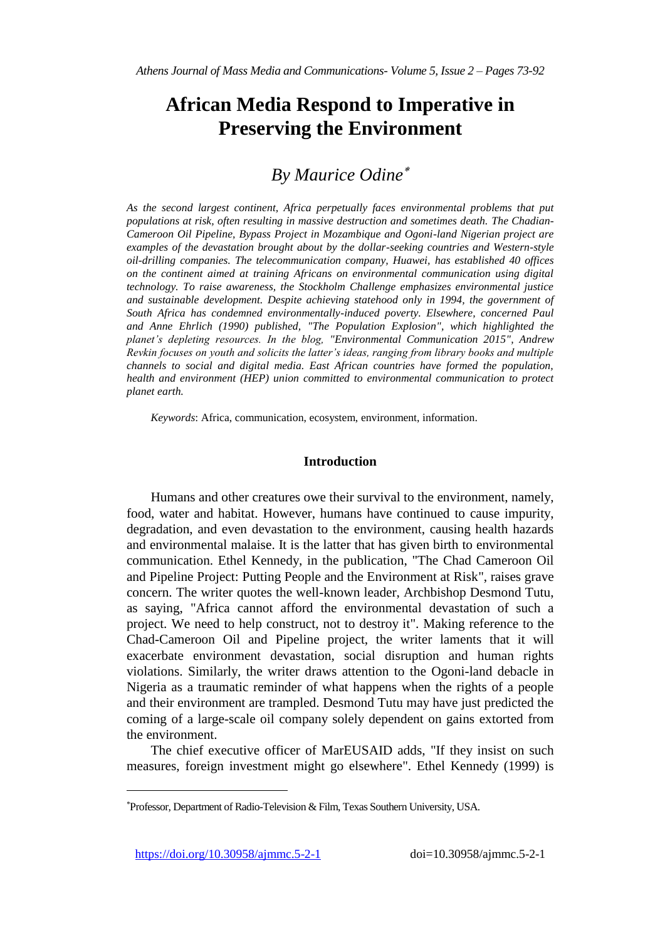# **African Media Respond to Imperative in Preserving the Environment**

# *By Maurice Odine*

*As the second largest continent, Africa perpetually faces environmental problems that put populations at risk, often resulting in massive destruction and sometimes death. The Chadian-Cameroon Oil Pipeline, Bypass Project in Mozambique and Ogoni-land Nigerian project are examples of the devastation brought about by the dollar-seeking countries and Western-style oil-drilling companies. The telecommunication company, Huawei, has established 40 offices on the continent aimed at training Africans on environmental communication using digital technology. To raise awareness, the Stockholm Challenge emphasizes environmental justice and sustainable development. Despite achieving statehood only in 1994, the government of South Africa has condemned environmentally-induced poverty. Elsewhere, concerned Paul and Anne Ehrlich (1990) published, "The Population Explosion", which highlighted the planet's depleting resources. In the blog, "Environmental Communication 2015", Andrew Revkin focuses on youth and solicits the latter's ideas, ranging from library books and multiple channels to social and digital media. East African countries have formed the population, health and environment (HEP) union committed to environmental communication to protect planet earth.*

*Keywords*: Africa, communication, ecosystem, environment, information.

# **Introduction**

Humans and other creatures owe their survival to the environment, namely, food, water and habitat. However, humans have continued to cause impurity, degradation, and even devastation to the environment, causing health hazards and environmental malaise. It is the latter that has given birth to environmental communication. Ethel Kennedy, in the publication, "The Chad Cameroon Oil and Pipeline Project: Putting People and the Environment at Risk", raises grave concern. The writer quotes the well-known leader, Archbishop Desmond Tutu, as saying, "Africa cannot afford the environmental devastation of such a project. We need to help construct, not to destroy it". Making reference to the Chad-Cameroon Oil and Pipeline project, the writer laments that it will exacerbate environment devastation, social disruption and human rights violations. Similarly, the writer draws attention to the Ogoni-land debacle in Nigeria as a traumatic reminder of what happens when the rights of a people and their environment are trampled. Desmond Tutu may have just predicted the coming of a large-scale oil company solely dependent on gains extorted from the environment.

The chief executive officer of MarEUSAID adds, "If they insist on such measures, foreign investment might go elsewhere". Ethel Kennedy (1999) is

https://doi.org/10.30958/ajmmc.5-2-1 doi=10.30958/ajmmc.5-2-1

Professor, Department of Radio-Television & Film, Texas Southern University, USA.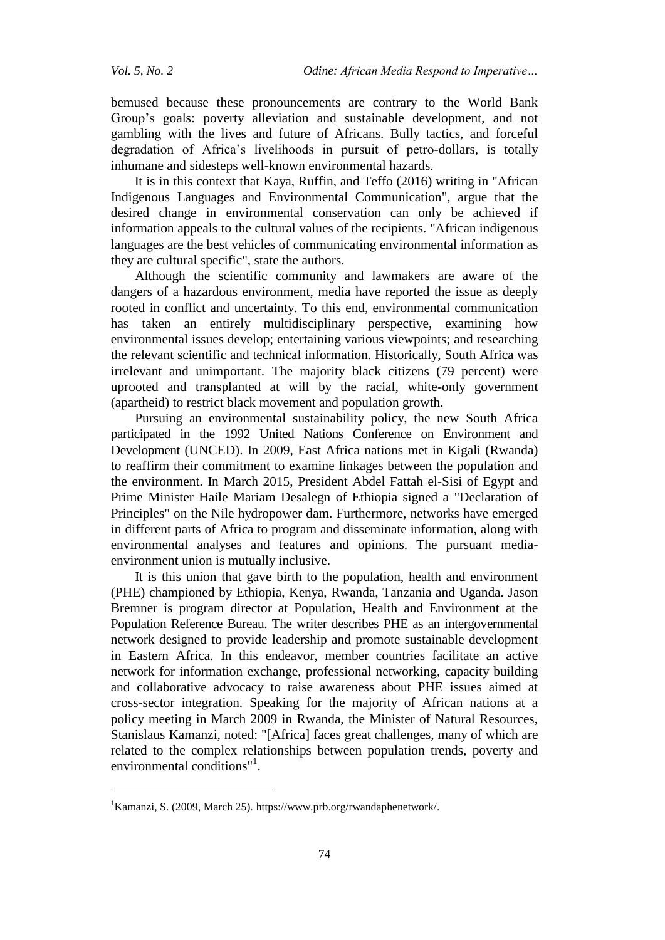bemused because these pronouncements are contrary to the World Bank Group's goals: poverty alleviation and sustainable development, and not gambling with the lives and future of Africans. Bully tactics, and forceful degradation of Africa's livelihoods in pursuit of petro-dollars, is totally inhumane and sidesteps well-known environmental hazards.

It is in this context that Kaya, Ruffin, and Teffo (2016) writing in "African Indigenous Languages and Environmental Communication", argue that the desired change in environmental conservation can only be achieved if information appeals to the cultural values of the recipients. "African indigenous languages are the best vehicles of communicating environmental information as they are cultural specific", state the authors.

Although the scientific community and lawmakers are aware of the dangers of a hazardous environment, media have reported the issue as deeply rooted in conflict and uncertainty. To this end, environmental communication has taken an entirely multidisciplinary perspective, examining how environmental issues develop; entertaining various viewpoints; and researching the relevant scientific and technical information. Historically, South Africa was irrelevant and unimportant. The majority black citizens (79 percent) were uprooted and transplanted at will by the racial, white-only government (apartheid) to restrict black movement and population growth.

Pursuing an environmental sustainability policy, the new South Africa participated in the 1992 United Nations Conference on Environment and Development (UNCED). In 2009, East Africa nations met in Kigali (Rwanda) to reaffirm their commitment to examine linkages between the population and the environment. In March 2015, President Abdel Fattah el-Sisi of Egypt and Prime Minister Haile Mariam Desalegn of Ethiopia signed a "Declaration of Principles" on the Nile hydropower dam. Furthermore, networks have emerged in different parts of Africa to program and disseminate information, along with environmental analyses and features and opinions. The pursuant mediaenvironment union is mutually inclusive.

It is this union that gave birth to the population, health and environment (PHE) championed by Ethiopia, Kenya, Rwanda, Tanzania and Uganda. Jason Bremner is program director at Population, Health and Environment at the Population Reference Bureau. The writer describes PHE as an intergovernmental network designed to provide leadership and promote sustainable development in Eastern Africa. In this endeavor, member countries facilitate an active network for information exchange, professional networking, capacity building and collaborative advocacy to raise awareness about PHE issues aimed at cross-sector integration. Speaking for the majority of African nations at a policy meeting in March 2009 in Rwanda, the Minister of Natural Resources, Stanislaus Kamanzi, noted: "[Africa] faces great challenges, many of which are related to the complex relationships between population trends, poverty and environmental conditions"<sup>1</sup>.

<sup>1</sup>Kamanzi, S. (2009, March 25). https://www.prb.org/rwandaphenetwork/.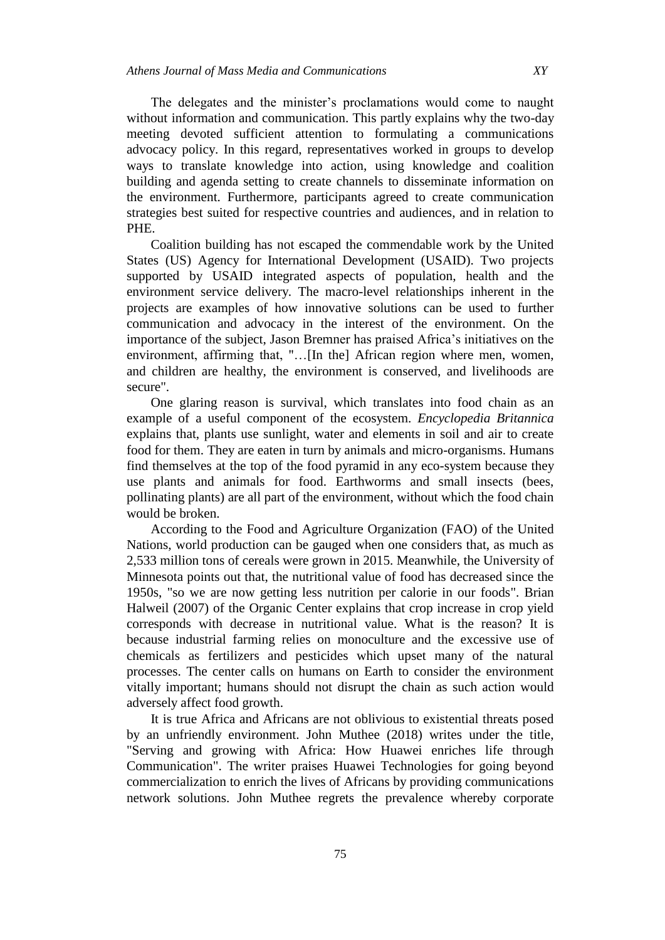The delegates and the minister's proclamations would come to naught without information and communication. This partly explains why the two-day meeting devoted sufficient attention to formulating a communications advocacy policy. In this regard, representatives worked in groups to develop ways to translate knowledge into action, using knowledge and coalition building and agenda setting to create channels to disseminate information on the environment. Furthermore, participants agreed to create communication strategies best suited for respective countries and audiences, and in relation to PHE.

Coalition building has not escaped the commendable work by the United States (US) Agency for International Development (USAID). Two projects supported by USAID integrated aspects of population, health and the environment service delivery. The macro-level relationships inherent in the projects are examples of how innovative solutions can be used to further communication and advocacy in the interest of the environment. On the importance of the subject, Jason Bremner has praised Africa's initiatives on the environment, affirming that, "…[In the] African region where men, women, and children are healthy, the environment is conserved, and livelihoods are secure".

One glaring reason is survival, which translates into food chain as an example of a useful component of the ecosystem. *Encyclopedia Britannica*  explains that, plants use sunlight, water and elements in soil and air to create food for them. They are eaten in turn by animals and micro-organisms. Humans find themselves at the top of the food pyramid in any eco-system because they use plants and animals for food. Earthworms and small insects (bees, pollinating plants) are all part of the environment, without which the food chain would be broken.

According to the Food and Agriculture Organization (FAO) of the United Nations, world production can be gauged when one considers that, as much as 2,533 million tons of cereals were grown in 2015. Meanwhile, the University of Minnesota points out that, the nutritional value of food has decreased since the 1950s, "so we are now getting less nutrition per calorie in our foods". Brian Halweil (2007) of the Organic Center explains that crop increase in crop yield corresponds with decrease in nutritional value. What is the reason? It is because industrial farming relies on monoculture and the excessive use of chemicals as fertilizers and pesticides which upset many of the natural processes. The center calls on humans on Earth to consider the environment vitally important; humans should not disrupt the chain as such action would adversely affect food growth.

It is true Africa and Africans are not oblivious to existential threats posed by an unfriendly environment. John Muthee (2018) writes under the title, "Serving and growing with Africa: How Huawei enriches life through Communication". The writer praises Huawei Technologies for going beyond commercialization to enrich the lives of Africans by providing communications network solutions. John Muthee regrets the prevalence whereby corporate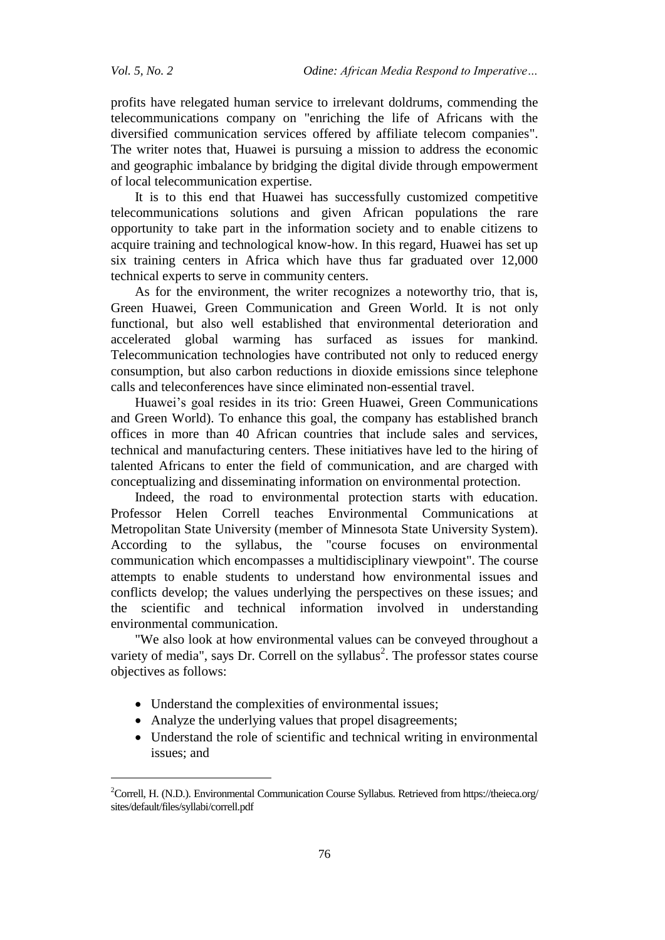$\overline{a}$ 

profits have relegated human service to irrelevant doldrums, commending the telecommunications company on "enriching the life of Africans with the diversified communication services offered by affiliate telecom companies". The writer notes that, Huawei is pursuing a mission to address the economic and geographic imbalance by bridging the digital divide through empowerment of local telecommunication expertise.

It is to this end that Huawei has successfully customized competitive telecommunications solutions and given African populations the rare opportunity to take part in the information society and to enable citizens to acquire training and technological know-how. In this regard, Huawei has set up six training centers in Africa which have thus far graduated over 12,000 technical experts to serve in community centers.

As for the environment, the writer recognizes a noteworthy trio, that is, Green Huawei, Green Communication and Green World. It is not only functional, but also well established that environmental deterioration and accelerated global warming has surfaced as issues for mankind. Telecommunication technologies have contributed not only to reduced energy consumption, but also carbon reductions in dioxide emissions since telephone calls and teleconferences have since eliminated non-essential travel.

Huawei's goal resides in its trio: Green Huawei, Green Communications and Green World). To enhance this goal, the company has established branch offices in more than 40 African countries that include sales and services, technical and manufacturing centers. These initiatives have led to the hiring of talented Africans to enter the field of communication, and are charged with conceptualizing and disseminating information on environmental protection.

Indeed, the road to environmental protection starts with education. Professor Helen Correll teaches Environmental Communications at Metropolitan State University (member of Minnesota State University System). According to the syllabus, the "course focuses on environmental communication which encompasses a multidisciplinary viewpoint". The course attempts to enable students to understand how environmental issues and conflicts develop; the values underlying the perspectives on these issues; and the scientific and technical information involved in understanding environmental communication.

"We also look at how environmental values can be conveyed throughout a variety of media", says Dr. Correll on the syllabus<sup>2</sup>. The professor states course objectives as follows:

- Understand the complexities of environmental issues;
- Analyze the underlying values that propel disagreements;
- Understand the role of scientific and technical writing in environmental issues; and

<sup>&</sup>lt;sup>2</sup>Correll, H. (N.D.). Environmental Communication Course Syllabus. Retrieved from https://theieca.org/ sites/default/files/syllabi/correll.pdf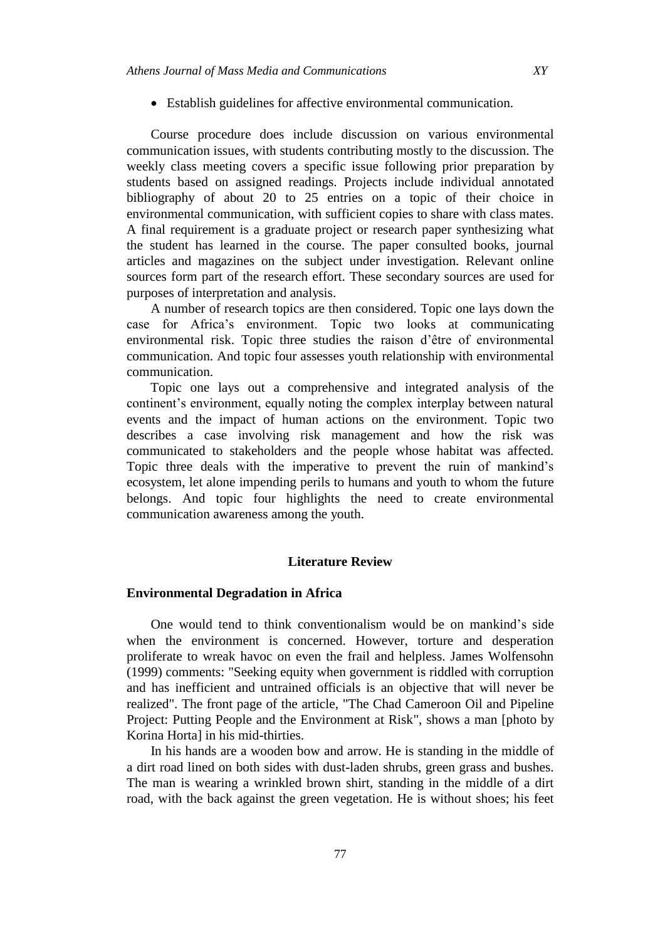Establish guidelines for affective environmental communication.

Course procedure does include discussion on various environmental communication issues, with students contributing mostly to the discussion. The weekly class meeting covers a specific issue following prior preparation by students based on assigned readings. Projects include individual annotated bibliography of about 20 to 25 entries on a topic of their choice in environmental communication, with sufficient copies to share with class mates. A final requirement is a graduate project or research paper synthesizing what the student has learned in the course. The paper consulted books, journal articles and magazines on the subject under investigation. Relevant online sources form part of the research effort. These secondary sources are used for purposes of interpretation and analysis.

A number of research topics are then considered. Topic one lays down the case for Africa's environment. Topic two looks at communicating environmental risk. Topic three studies the raison d'être of environmental communication. And topic four assesses youth relationship with environmental communication.

Topic one lays out a comprehensive and integrated analysis of the continent's environment, equally noting the complex interplay between natural events and the impact of human actions on the environment. Topic two describes a case involving risk management and how the risk was communicated to stakeholders and the people whose habitat was affected. Topic three deals with the imperative to prevent the ruin of mankind's ecosystem, let alone impending perils to humans and youth to whom the future belongs. And topic four highlights the need to create environmental communication awareness among the youth.

# **Literature Review**

# **Environmental Degradation in Africa**

One would tend to think conventionalism would be on mankind's side when the environment is concerned. However, torture and desperation proliferate to wreak havoc on even the frail and helpless. James Wolfensohn (1999) comments: "Seeking equity when government is riddled with corruption and has inefficient and untrained officials is an objective that will never be realized". The front page of the article, "The Chad Cameroon Oil and Pipeline Project: Putting People and the Environment at Risk", shows a man [photo by Korina Horta] in his mid-thirties.

In his hands are a wooden bow and arrow. He is standing in the middle of a dirt road lined on both sides with dust-laden shrubs, green grass and bushes. The man is wearing a wrinkled brown shirt, standing in the middle of a dirt road, with the back against the green vegetation. He is without shoes; his feet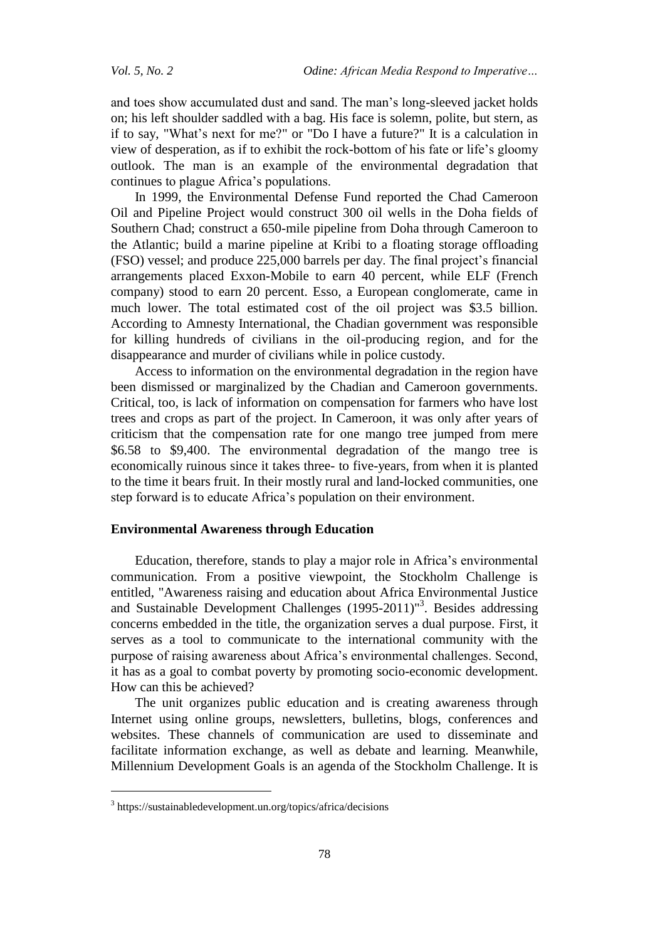and toes show accumulated dust and sand. The man's long-sleeved jacket holds on; his left shoulder saddled with a bag. His face is solemn, polite, but stern, as if to say, "What's next for me?" or "Do I have a future?" It is a calculation in view of desperation, as if to exhibit the rock-bottom of his fate or life's gloomy outlook. The man is an example of the environmental degradation that continues to plague Africa's populations.

In 1999, the Environmental Defense Fund reported the Chad Cameroon Oil and Pipeline Project would construct 300 oil wells in the Doha fields of Southern Chad; construct a 650-mile pipeline from Doha through Cameroon to the Atlantic; build a marine pipeline at Kribi to a floating storage offloading (FSO) vessel; and produce 225,000 barrels per day. The final project's financial arrangements placed Exxon-Mobile to earn 40 percent, while ELF (French company) stood to earn 20 percent. Esso, a European conglomerate, came in much lower. The total estimated cost of the oil project was \$3.5 billion. According to Amnesty International, the Chadian government was responsible for killing hundreds of civilians in the oil-producing region, and for the disappearance and murder of civilians while in police custody.

Access to information on the environmental degradation in the region have been dismissed or marginalized by the Chadian and Cameroon governments. Critical, too, is lack of information on compensation for farmers who have lost trees and crops as part of the project. In Cameroon, it was only after years of criticism that the compensation rate for one mango tree jumped from mere \$6.58 to \$9,400. The environmental degradation of the mango tree is economically ruinous since it takes three- to five-years, from when it is planted to the time it bears fruit. In their mostly rural and land-locked communities, one step forward is to educate Africa's population on their environment.

# **Environmental Awareness through Education**

Education, therefore, stands to play a major role in Africa's environmental communication. From a positive viewpoint, the Stockholm Challenge is entitled, "Awareness raising and education about Africa Environmental Justice and Sustainable Development Challenges (1995-2011)<sup>13</sup>. Besides addressing concerns embedded in the title, the organization serves a dual purpose. First, it serves as a tool to communicate to the international community with the purpose of raising awareness about Africa's environmental challenges. Second, it has as a goal to combat poverty by promoting socio-economic development. How can this be achieved?

The unit organizes public education and is creating awareness through Internet using online groups, newsletters, bulletins, blogs, conferences and websites. These channels of communication are used to disseminate and facilitate information exchange, as well as debate and learning. Meanwhile, Millennium Development Goals is an agenda of the Stockholm Challenge. It is

<sup>3</sup> https://sustainabledevelopment.un.org/topics/africa/decisions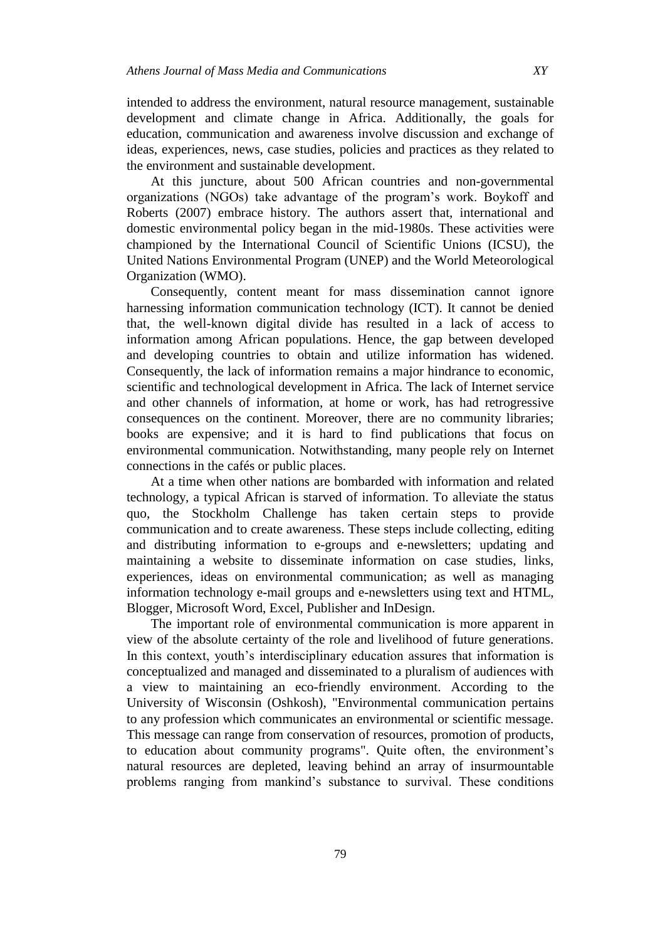intended to address the environment, natural resource management, sustainable development and climate change in Africa. Additionally, the goals for education, communication and awareness involve discussion and exchange of ideas, experiences, news, case studies, policies and practices as they related to the environment and sustainable development.

At this juncture, about 500 African countries and non-governmental organizations (NGOs) take advantage of the program's work. Boykoff and Roberts (2007) embrace history. The authors assert that, international and domestic environmental policy began in the mid-1980s. These activities were championed by the International Council of Scientific Unions (ICSU), the United Nations Environmental Program (UNEP) and the World Meteorological Organization (WMO).

Consequently, content meant for mass dissemination cannot ignore harnessing information communication technology (ICT). It cannot be denied that, the well-known digital divide has resulted in a lack of access to information among African populations. Hence, the gap between developed and developing countries to obtain and utilize information has widened. Consequently, the lack of information remains a major hindrance to economic, scientific and technological development in Africa. The lack of Internet service and other channels of information, at home or work, has had retrogressive consequences on the continent. Moreover, there are no community libraries; books are expensive; and it is hard to find publications that focus on environmental communication. Notwithstanding, many people rely on Internet connections in the cafés or public places.

At a time when other nations are bombarded with information and related technology, a typical African is starved of information. To alleviate the status quo, the Stockholm Challenge has taken certain steps to provide communication and to create awareness. These steps include collecting, editing and distributing information to e-groups and e-newsletters; updating and maintaining a website to disseminate information on case studies, links, experiences, ideas on environmental communication; as well as managing information technology e-mail groups and e-newsletters using text and HTML, Blogger, Microsoft Word, Excel, Publisher and InDesign.

The important role of environmental communication is more apparent in view of the absolute certainty of the role and livelihood of future generations. In this context, youth's interdisciplinary education assures that information is conceptualized and managed and disseminated to a pluralism of audiences with a view to maintaining an eco-friendly environment. According to the University of Wisconsin (Oshkosh), "Environmental communication pertains to any profession which communicates an environmental or scientific message. This message can range from conservation of resources, promotion of products, to education about community programs". Quite often, the environment's natural resources are depleted, leaving behind an array of insurmountable problems ranging from mankind's substance to survival. These conditions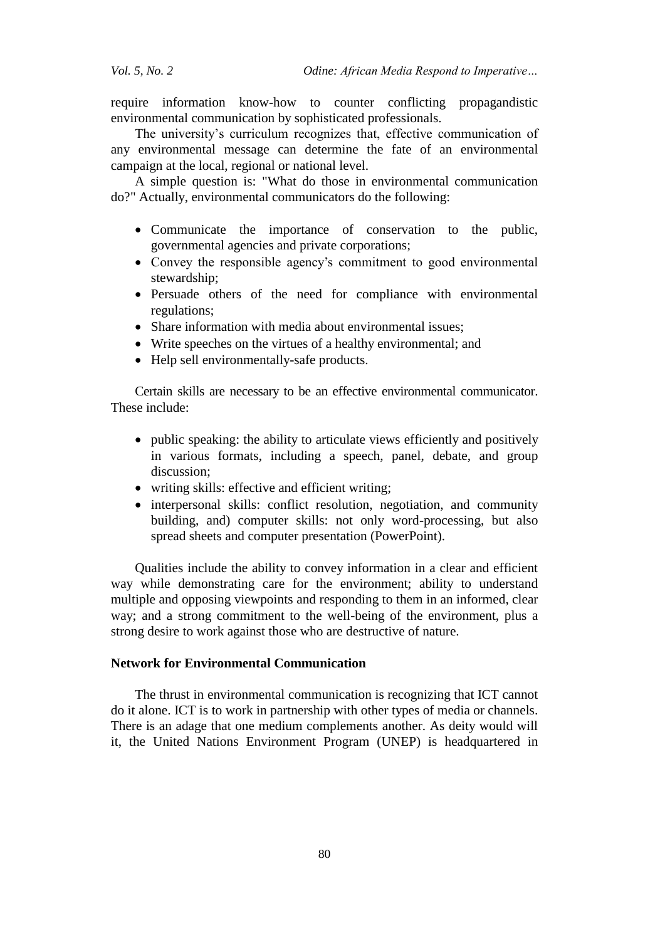*Vol. 5, No. 2 Odine: African Media Respond to Imperative…*

require information know-how to counter conflicting propagandistic environmental communication by sophisticated professionals.

The university's curriculum recognizes that, effective communication of any environmental message can determine the fate of an environmental campaign at the local, regional or national level.

A simple question is: "What do those in environmental communication do?" Actually, environmental communicators do the following:

- Communicate the importance of conservation to the public, governmental agencies and private corporations;
- Convey the responsible agency's commitment to good environmental stewardship;
- Persuade others of the need for compliance with environmental regulations;
- Share information with media about environmental issues;
- Write speeches on the virtues of a healthy environmental; and
- Help sell environmentally-safe products.

Certain skills are necessary to be an effective environmental communicator. These include:

- public speaking: the ability to articulate views efficiently and positively in various formats, including a speech, panel, debate, and group discussion;
- writing skills: effective and efficient writing;
- interpersonal skills: conflict resolution, negotiation, and community building, and) computer skills: not only word-processing, but also spread sheets and computer presentation (PowerPoint).

Qualities include the ability to convey information in a clear and efficient way while demonstrating care for the environment; ability to understand multiple and opposing viewpoints and responding to them in an informed, clear way; and a strong commitment to the well-being of the environment, plus a strong desire to work against those who are destructive of nature.

# **Network for Environmental Communication**

The thrust in environmental communication is recognizing that ICT cannot do it alone. ICT is to work in partnership with other types of media or channels. There is an adage that one medium complements another. As deity would will it, the United Nations Environment Program (UNEP) is headquartered in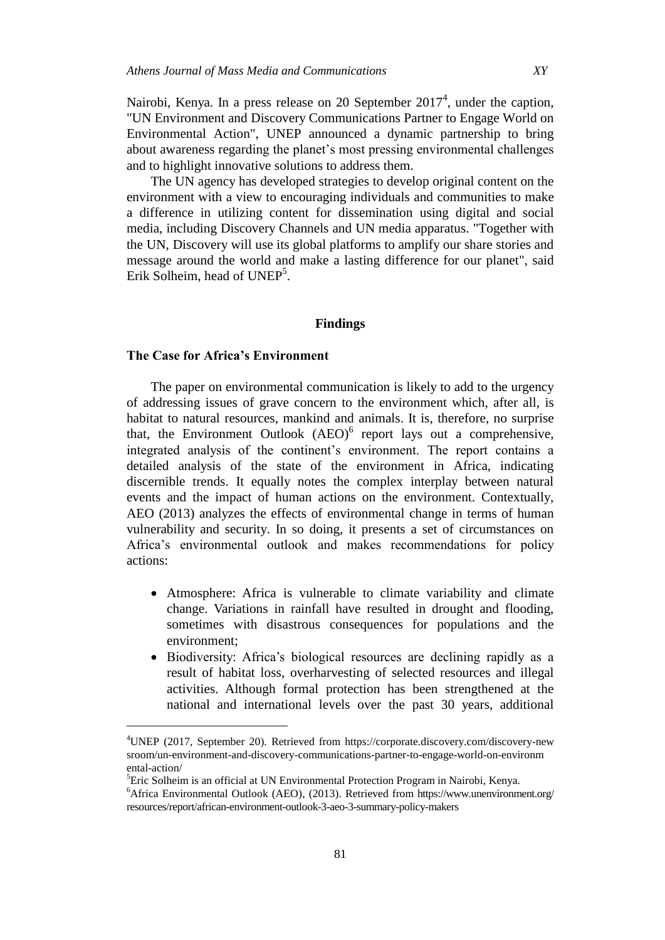Nairobi, Kenya. In a press release on 20 September  $2017<sup>4</sup>$ , under the caption, "UN Environment and Discovery Communications Partner to Engage World on Environmental Action", UNEP announced a dynamic partnership to bring about awareness regarding the planet's most pressing environmental challenges and to highlight innovative solutions to address them.

The UN agency has developed strategies to develop original content on the environment with a view to encouraging individuals and communities to make a difference in utilizing content for dissemination using digital and social media, including Discovery Channels and UN media apparatus. "Together with the UN, Discovery will use its global platforms to amplify our share stories and message around the world and make a lasting difference for our planet", said Erik Solheim, head of UNEP<sup>5</sup>.

# **Findings**

# **The Case for Africa's Environment**

 $\overline{a}$ 

The paper on environmental communication is likely to add to the urgency of addressing issues of grave concern to the environment which, after all, is habitat to natural resources, mankind and animals. It is, therefore, no surprise that, the Environment Outlook  $(ABO)^6$  report lays out a comprehensive, integrated analysis of the continent's environment. The report contains a detailed analysis of the state of the environment in Africa, indicating discernible trends. It equally notes the complex interplay between natural events and the impact of human actions on the environment. Contextually, AEO (2013) analyzes the effects of environmental change in terms of human vulnerability and security. In so doing, it presents a set of circumstances on Africa's environmental outlook and makes recommendations for policy actions:

- Atmosphere: Africa is vulnerable to climate variability and climate change. Variations in rainfall have resulted in drought and flooding, sometimes with disastrous consequences for populations and the environment;
- Biodiversity: Africa's biological resources are declining rapidly as a result of habitat loss, overharvesting of selected resources and illegal activities. Although formal protection has been strengthened at the national and international levels over the past 30 years, additional

<sup>5</sup>Eric Solheim is an official at UN Environmental Protection Program in Nairobi, Kenya.

<sup>4</sup>UNEP (2017, September 20). Retrieved from https://corporate.discovery.com/discovery-new sroom/un-environment-and-discovery-communications-partner-to-engage-world-on-environm ental-action/

<sup>6</sup>Africa Environmental Outlook (AEO), (2013). Retrieved from https://www.unenvironment.org/ resources/report/african-environment-outlook-3-aeo-3-summary-policy-makers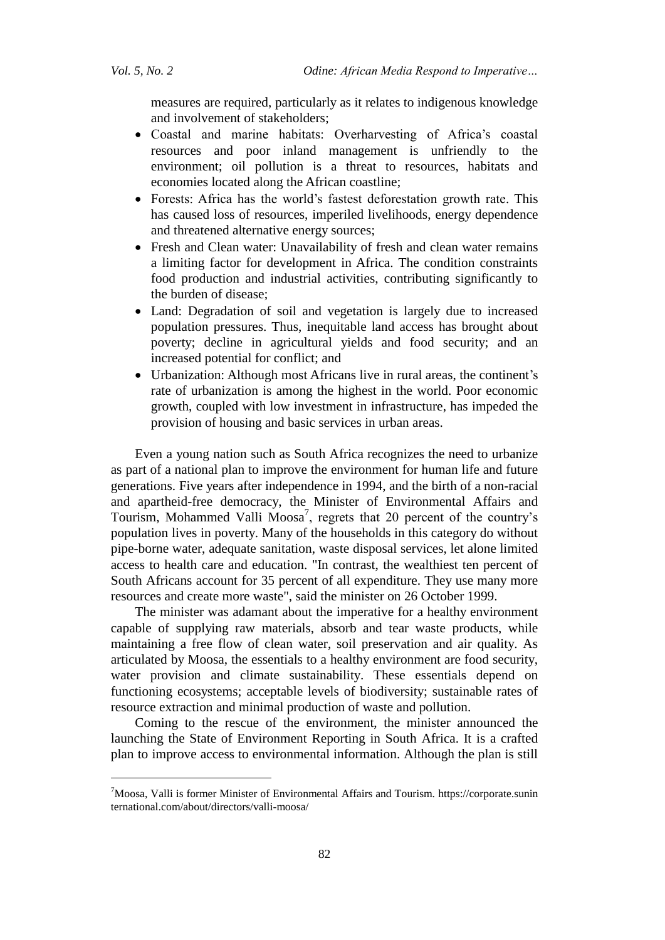$\overline{a}$ 

measures are required, particularly as it relates to indigenous knowledge and involvement of stakeholders;

- Coastal and marine habitats: Overharvesting of Africa's coastal resources and poor inland management is unfriendly to the environment; oil pollution is a threat to resources, habitats and economies located along the African coastline;
- Forests: Africa has the world's fastest deforestation growth rate. This has caused loss of resources, imperiled livelihoods, energy dependence and threatened alternative energy sources;
- Fresh and Clean water: Unavailability of fresh and clean water remains a limiting factor for development in Africa. The condition constraints food production and industrial activities, contributing significantly to the burden of disease;
- Land: Degradation of soil and vegetation is largely due to increased population pressures. Thus, inequitable land access has brought about poverty; decline in agricultural yields and food security; and an increased potential for conflict; and
- Urbanization: Although most Africans live in rural areas, the continent's rate of urbanization is among the highest in the world. Poor economic growth, coupled with low investment in infrastructure, has impeded the provision of housing and basic services in urban areas.

Even a young nation such as South Africa recognizes the need to urbanize as part of a national plan to improve the environment for human life and future generations. Five years after independence in 1994, and the birth of a non-racial and apartheid-free democracy, the Minister of Environmental Affairs and Tourism, Mohammed Valli Moosa<sup>7</sup>, regrets that 20 percent of the country's population lives in poverty. Many of the households in this category do without pipe-borne water, adequate sanitation, waste disposal services, let alone limited access to health care and education. "In contrast, the wealthiest ten percent of South Africans account for 35 percent of all expenditure. They use many more resources and create more waste", said the minister on 26 October 1999.

The minister was adamant about the imperative for a healthy environment capable of supplying raw materials, absorb and tear waste products, while maintaining a free flow of clean water, soil preservation and air quality. As articulated by Moosa, the essentials to a healthy environment are food security, water provision and climate sustainability. These essentials depend on functioning ecosystems; acceptable levels of biodiversity; sustainable rates of resource extraction and minimal production of waste and pollution.

Coming to the rescue of the environment, the minister announced the launching the State of Environment Reporting in South Africa. It is a crafted plan to improve access to environmental information. Although the plan is still

<sup>7</sup>Moosa, Valli is former Minister of Environmental Affairs and Tourism. https://corporate.sunin ternational.com/about/directors/valli-moosa/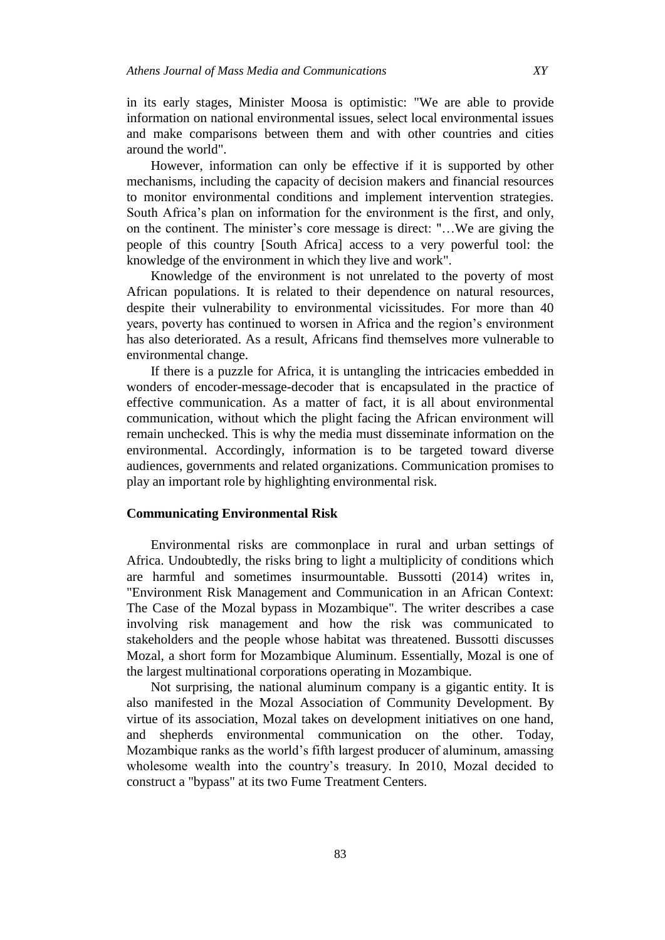in its early stages, Minister Moosa is optimistic: "We are able to provide information on national environmental issues, select local environmental issues and make comparisons between them and with other countries and cities around the world".

However, information can only be effective if it is supported by other mechanisms, including the capacity of decision makers and financial resources to monitor environmental conditions and implement intervention strategies. South Africa's plan on information for the environment is the first, and only, on the continent. The minister's core message is direct: "…We are giving the people of this country [South Africa] access to a very powerful tool: the knowledge of the environment in which they live and work".

Knowledge of the environment is not unrelated to the poverty of most African populations. It is related to their dependence on natural resources, despite their vulnerability to environmental vicissitudes. For more than 40 years, poverty has continued to worsen in Africa and the region's environment has also deteriorated. As a result, Africans find themselves more vulnerable to environmental change.

If there is a puzzle for Africa, it is untangling the intricacies embedded in wonders of encoder-message-decoder that is encapsulated in the practice of effective communication. As a matter of fact, it is all about environmental communication, without which the plight facing the African environment will remain unchecked. This is why the media must disseminate information on the environmental. Accordingly, information is to be targeted toward diverse audiences, governments and related organizations. Communication promises to play an important role by highlighting environmental risk.

## **Communicating Environmental Risk**

Environmental risks are commonplace in rural and urban settings of Africa. Undoubtedly, the risks bring to light a multiplicity of conditions which are harmful and sometimes insurmountable. Bussotti (2014) writes in, "Environment Risk Management and Communication in an African Context: The Case of the Mozal bypass in Mozambique". The writer describes a case involving risk management and how the risk was communicated to stakeholders and the people whose habitat was threatened. Bussotti discusses Mozal, a short form for Mozambique Aluminum. Essentially, Mozal is one of the largest multinational corporations operating in Mozambique.

Not surprising, the national aluminum company is a gigantic entity. It is also manifested in the Mozal Association of Community Development. By virtue of its association, Mozal takes on development initiatives on one hand, and shepherds environmental communication on the other. Today, Mozambique ranks as the world's fifth largest producer of aluminum, amassing wholesome wealth into the country's treasury. In 2010, Mozal decided to construct a "bypass" at its two Fume Treatment Centers.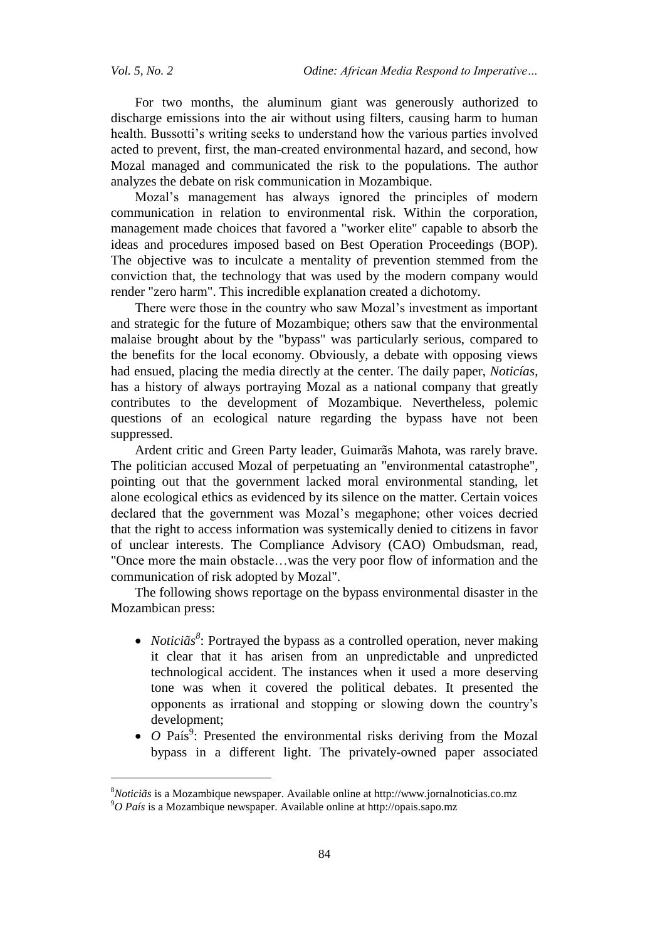$\overline{a}$ 

For two months, the aluminum giant was generously authorized to discharge emissions into the air without using filters, causing harm to human health. Bussotti's writing seeks to understand how the various parties involved acted to prevent, first, the man-created environmental hazard, and second, how Mozal managed and communicated the risk to the populations. The author analyzes the debate on risk communication in Mozambique.

Mozal's management has always ignored the principles of modern communication in relation to environmental risk. Within the corporation, management made choices that favored a "worker elite" capable to absorb the ideas and procedures imposed based on Best Operation Proceedings (BOP). The objective was to inculcate a mentality of prevention stemmed from the conviction that, the technology that was used by the modern company would render "zero harm". This incredible explanation created a dichotomy.

There were those in the country who saw Mozal's investment as important and strategic for the future of Mozambique; others saw that the environmental malaise brought about by the "bypass" was particularly serious, compared to the benefits for the local economy. Obviously, a debate with opposing views had ensued, placing the media directly at the center. The daily paper, *Noticías*, has a history of always portraying Mozal as a national company that greatly contributes to the development of Mozambique. Nevertheless, polemic questions of an ecological nature regarding the bypass have not been suppressed.

Ardent critic and Green Party leader, Guimarãs Mahota, was rarely brave. The politician accused Mozal of perpetuating an "environmental catastrophe", pointing out that the government lacked moral environmental standing, let alone ecological ethics as evidenced by its silence on the matter. Certain voices declared that the government was Mozal's megaphone; other voices decried that the right to access information was systemically denied to citizens in favor of unclear interests. The Compliance Advisory (CAO) Ombudsman, read, "Once more the main obstacle…was the very poor flow of information and the communication of risk adopted by Mozal".

The following shows reportage on the bypass environmental disaster in the Mozambican press:

- *Noticiãs*<sup>8</sup>: Portrayed the bypass as a controlled operation, never making it clear that it has arisen from an unpredictable and unpredicted technological accident. The instances when it used a more deserving tone was when it covered the political debates. It presented the opponents as irrational and stopping or slowing down the country's development;
- $\bullet$  *O* País<sup>9</sup>: Presented the environmental risks deriving from the Mozal bypass in a different light. The privately-owned paper associated

<sup>8</sup>*Noticiãs* is a Mozambique newspaper. Available online at http://www.jornalnoticias.co.mz <sup>9</sup>*O País* is a Mozambique newspaper. Available online at http://opais.sapo.mz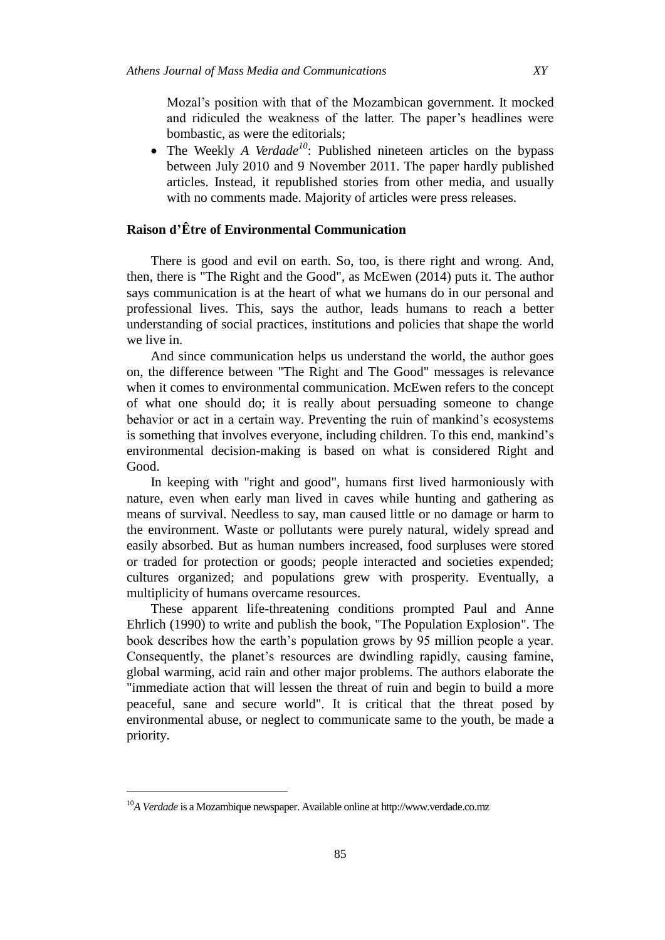Mozal's position with that of the Mozambican government. It mocked and ridiculed the weakness of the latter. The paper's headlines were bombastic, as were the editorials;

• The Weekly *A Verdade<sup>10</sup>*: Published nineteen articles on the bypass between July 2010 and 9 November 2011. The paper hardly published articles. Instead, it republished stories from other media, and usually with no comments made. Majority of articles were press releases.

# **Raison d'Être of Environmental Communication**

There is good and evil on earth. So, too, is there right and wrong. And, then, there is "The Right and the Good", as McEwen (2014) puts it. The author says communication is at the heart of what we humans do in our personal and professional lives. This, says the author, leads humans to reach a better understanding of social practices, institutions and policies that shape the world we live in.

And since communication helps us understand the world, the author goes on, the difference between "The Right and The Good" messages is relevance when it comes to environmental communication. McEwen refers to the concept of what one should do; it is really about persuading someone to change behavior or act in a certain way. Preventing the ruin of mankind's ecosystems is something that involves everyone, including children. To this end, mankind's environmental decision-making is based on what is considered Right and Good.

In keeping with "right and good", humans first lived harmoniously with nature, even when early man lived in caves while hunting and gathering as means of survival. Needless to say, man caused little or no damage or harm to the environment. Waste or pollutants were purely natural, widely spread and easily absorbed. But as human numbers increased, food surpluses were stored or traded for protection or goods; people interacted and societies expended; cultures organized; and populations grew with prosperity. Eventually, a multiplicity of humans overcame resources.

These apparent life-threatening conditions prompted Paul and Anne Ehrlich (1990) to write and publish the book, "The Population Explosion". The book describes how the earth's population grows by 95 million people a year. Consequently, the planet's resources are dwindling rapidly, causing famine, global warming, acid rain and other major problems. The authors elaborate the "immediate action that will lessen the threat of ruin and begin to build a more peaceful, sane and secure world". It is critical that the threat posed by environmental abuse, or neglect to communicate same to the youth, be made a priority.

<sup>10</sup>*A Verdade* is a Mozambique newspaper. Available online at http://www.verdade.co.mz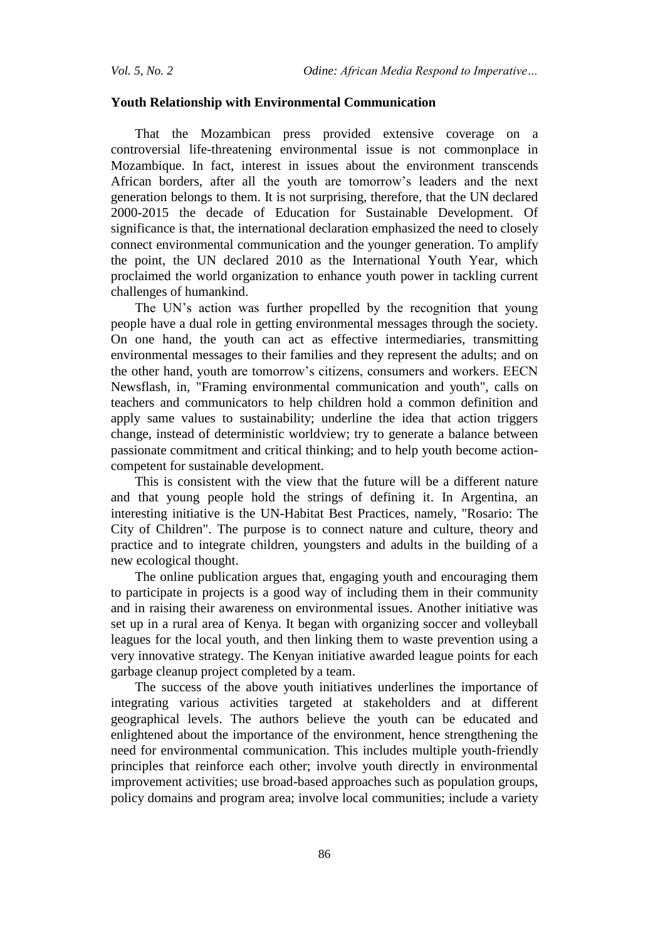# **Youth Relationship with Environmental Communication**

That the Mozambican press provided extensive coverage on a controversial life-threatening environmental issue is not commonplace in Mozambique. In fact, interest in issues about the environment transcends African borders, after all the youth are tomorrow's leaders and the next generation belongs to them. It is not surprising, therefore, that the UN declared 2000-2015 the decade of Education for Sustainable Development. Of significance is that, the international declaration emphasized the need to closely connect environmental communication and the younger generation. To amplify the point, the UN declared 2010 as the International Youth Year, which proclaimed the world organization to enhance youth power in tackling current challenges of humankind.

The UN's action was further propelled by the recognition that young people have a dual role in getting environmental messages through the society. On one hand, the youth can act as effective intermediaries, transmitting environmental messages to their families and they represent the adults; and on the other hand, youth are tomorrow's citizens, consumers and workers. EECN Newsflash, in, "Framing environmental communication and youth", calls on teachers and communicators to help children hold a common definition and apply same values to sustainability; underline the idea that action triggers change, instead of deterministic worldview; try to generate a balance between passionate commitment and critical thinking; and to help youth become actioncompetent for sustainable development.

This is consistent with the view that the future will be a different nature and that young people hold the strings of defining it. In Argentina, an interesting initiative is the UN-Habitat Best Practices, namely, "Rosario: The City of Children". The purpose is to connect nature and culture, theory and practice and to integrate children, youngsters and adults in the building of a new ecological thought.

The online publication argues that, engaging youth and encouraging them to participate in projects is a good way of including them in their community and in raising their awareness on environmental issues. Another initiative was set up in a rural area of Kenya. It began with organizing soccer and volleyball leagues for the local youth, and then linking them to waste prevention using a very innovative strategy. The Kenyan initiative awarded league points for each garbage cleanup project completed by a team.

The success of the above youth initiatives underlines the importance of integrating various activities targeted at stakeholders and at different geographical levels. The authors believe the youth can be educated and enlightened about the importance of the environment, hence strengthening the need for environmental communication. This includes multiple youth-friendly principles that reinforce each other; involve youth directly in environmental improvement activities; use broad-based approaches such as population groups, policy domains and program area; involve local communities; include a variety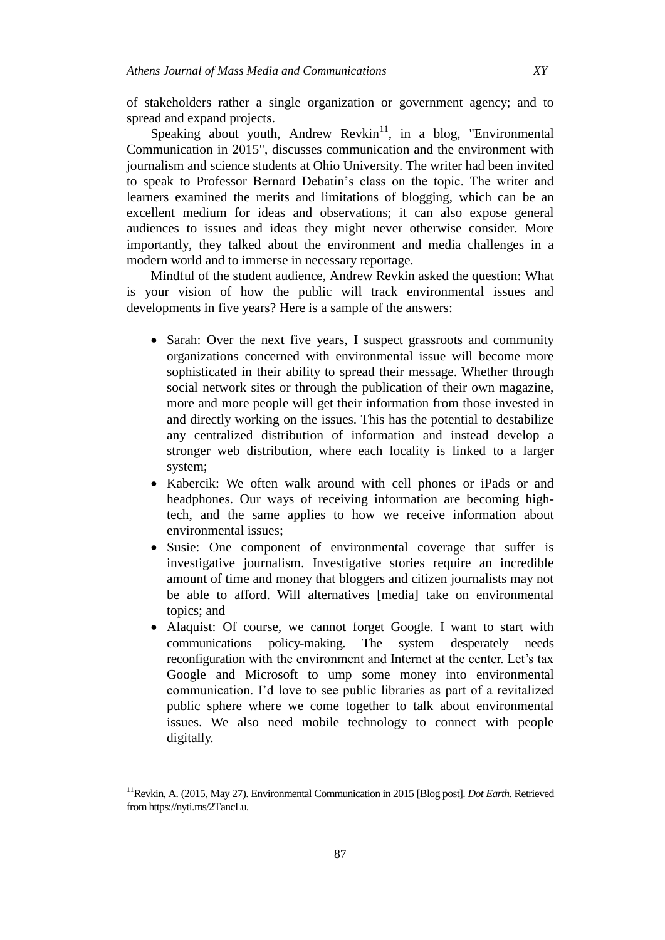of stakeholders rather a single organization or government agency; and to spread and expand projects.

Speaking about youth, Andrew Revkin<sup>11</sup>, in a blog, "Environmental" Communication in 2015", discusses communication and the environment with journalism and science students at Ohio University. The writer had been invited to speak to Professor Bernard Debatin's class on the topic. The writer and learners examined the merits and limitations of blogging, which can be an excellent medium for ideas and observations; it can also expose general audiences to issues and ideas they might never otherwise consider. More importantly, they talked about the environment and media challenges in a modern world and to immerse in necessary reportage.

Mindful of the student audience, Andrew Revkin asked the question: What is your vision of how the public will track environmental issues and developments in five years? Here is a sample of the answers:

- Sarah: Over the next five years, I suspect grassroots and community organizations concerned with environmental issue will become more sophisticated in their ability to spread their message. Whether through social network sites or through the publication of their own magazine, more and more people will get their information from those invested in and directly working on the issues. This has the potential to destabilize any centralized distribution of information and instead develop a stronger web distribution, where each locality is linked to a larger system;
- Kabercik: We often walk around with cell phones or iPads or and headphones. Our ways of receiving information are becoming hightech, and the same applies to how we receive information about environmental issues;
- Susie: One component of environmental coverage that suffer is investigative journalism. Investigative stories require an incredible amount of time and money that bloggers and citizen journalists may not be able to afford. Will alternatives [media] take on environmental topics; and
- Alaquist: Of course, we cannot forget Google. I want to start with communications policy-making. The system desperately needs reconfiguration with the environment and Internet at the center. Let's tax Google and Microsoft to ump some money into environmental communication. I'd love to see public libraries as part of a revitalized public sphere where we come together to talk about environmental issues. We also need mobile technology to connect with people digitally.

<sup>11</sup>Revkin, A. (2015, May 27). Environmental Communication in 2015 [Blog post]. *Dot Earth*. Retrieved from https://nyti.ms/2TancLu.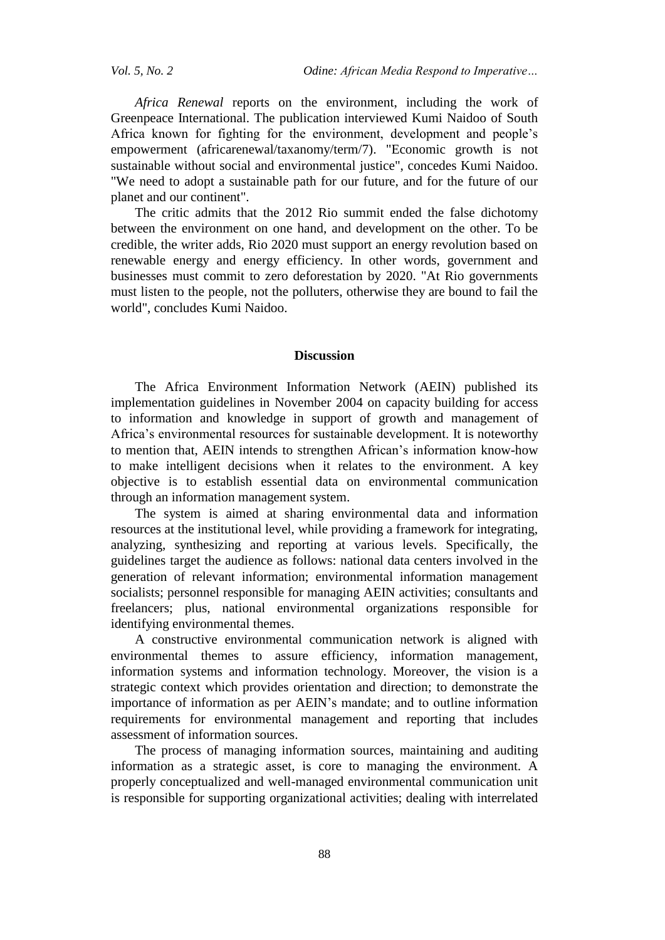*Vol. 5, No. 2 Odine: African Media Respond to Imperative…*

*Africa Renewal* reports on the environment, including the work of Greenpeace International. The publication interviewed Kumi Naidoo of South Africa known for fighting for the environment, development and people's empowerment (africarenewal/taxanomy/term/7). "Economic growth is not sustainable without social and environmental justice", concedes Kumi Naidoo. "We need to adopt a sustainable path for our future, and for the future of our planet and our continent".

The critic admits that the 2012 Rio summit ended the false dichotomy between the environment on one hand, and development on the other. To be credible, the writer adds, Rio 2020 must support an energy revolution based on renewable energy and energy efficiency. In other words, government and businesses must commit to zero deforestation by 2020. "At Rio governments must listen to the people, not the polluters, otherwise they are bound to fail the world", concludes Kumi Naidoo.

#### **Discussion**

The Africa Environment Information Network (AEIN) published its implementation guidelines in November 2004 on capacity building for access to information and knowledge in support of growth and management of Africa's environmental resources for sustainable development. It is noteworthy to mention that, AEIN intends to strengthen African's information know-how to make intelligent decisions when it relates to the environment. A key objective is to establish essential data on environmental communication through an information management system.

The system is aimed at sharing environmental data and information resources at the institutional level, while providing a framework for integrating, analyzing, synthesizing and reporting at various levels. Specifically, the guidelines target the audience as follows: national data centers involved in the generation of relevant information; environmental information management socialists; personnel responsible for managing AEIN activities; consultants and freelancers; plus, national environmental organizations responsible for identifying environmental themes.

A constructive environmental communication network is aligned with environmental themes to assure efficiency, information management, information systems and information technology. Moreover, the vision is a strategic context which provides orientation and direction; to demonstrate the importance of information as per AEIN's mandate; and to outline information requirements for environmental management and reporting that includes assessment of information sources.

The process of managing information sources, maintaining and auditing information as a strategic asset, is core to managing the environment. A properly conceptualized and well-managed environmental communication unit is responsible for supporting organizational activities; dealing with interrelated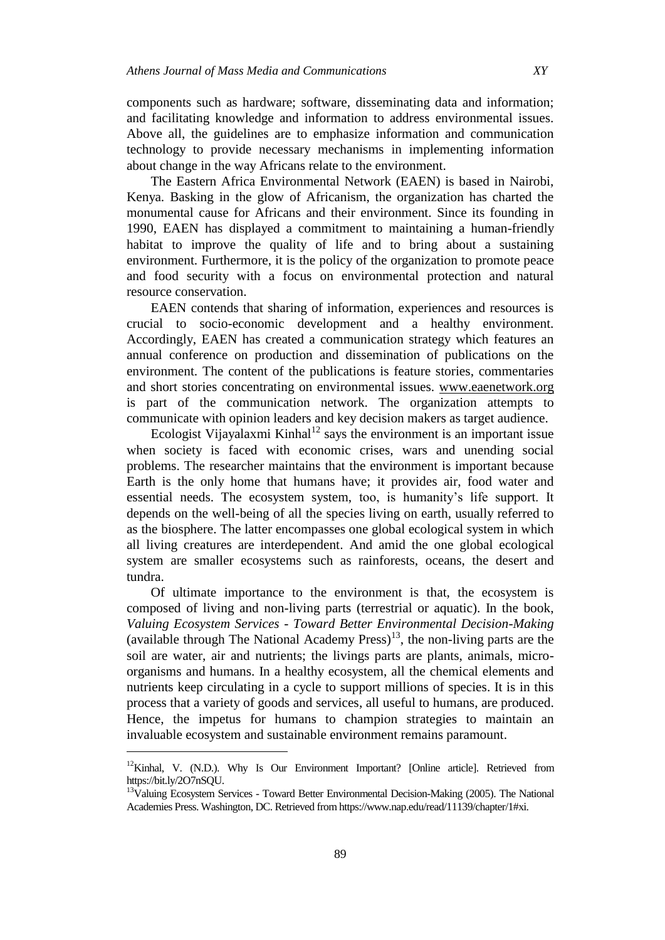components such as hardware; software, disseminating data and information; and facilitating knowledge and information to address environmental issues. Above all, the guidelines are to emphasize information and communication technology to provide necessary mechanisms in implementing information about change in the way Africans relate to the environment.

The Eastern Africa Environmental Network (EAEN) is based in Nairobi, Kenya. Basking in the glow of Africanism, the organization has charted the monumental cause for Africans and their environment. Since its founding in 1990, EAEN has displayed a commitment to maintaining a human-friendly habitat to improve the quality of life and to bring about a sustaining environment. Furthermore, it is the policy of the organization to promote peace and food security with a focus on environmental protection and natural resource conservation.

EAEN contends that sharing of information, experiences and resources is crucial to socio-economic development and a healthy environment. Accordingly, EAEN has created a communication strategy which features an annual conference on production and dissemination of publications on the environment. The content of the publications is feature stories, commentaries and short stories concentrating on environmental issues. www.eaenetwork.org is part of the communication network. The organization attempts to communicate with opinion leaders and key decision makers as target audience.

Ecologist Vijayalaxmi Kinhal<sup>12</sup> says the environment is an important issue when society is faced with economic crises, wars and unending social problems. The researcher maintains that the environment is important because Earth is the only home that humans have; it provides air, food water and essential needs. The ecosystem system, too, is humanity's life support. It depends on the well-being of all the species living on earth, usually referred to as the biosphere. The latter encompasses one global ecological system in which all living creatures are interdependent. And amid the one global ecological system are smaller ecosystems such as rainforests, oceans, the desert and tundra.

Of ultimate importance to the environment is that, the ecosystem is composed of living and non-living parts (terrestrial or aquatic). In the book, *Valuing Ecosystem Services - Toward Better Environmental Decision-Making* (available through The National Academy Press)<sup>13</sup>, the non-living parts are the soil are water, air and nutrients; the livings parts are plants, animals, microorganisms and humans. In a healthy ecosystem, all the chemical elements and nutrients keep circulating in a cycle to support millions of species. It is in this process that a variety of goods and services, all useful to humans, are produced. Hence, the impetus for humans to champion strategies to maintain an invaluable ecosystem and sustainable environment remains paramount.

 $12$ Kinhal, V. (N.D.). Why Is Our Environment Important? [Online article]. Retrieved from https://bit.ly/2O7nSQU.

<sup>&</sup>lt;sup>13</sup>Valuing Ecosystem Services - Toward Better Environmental Decision-Making (2005). The National Academies Press. Washington, DC. Retrieved from https://www.nap.edu/read/11139/chapter/1#xi.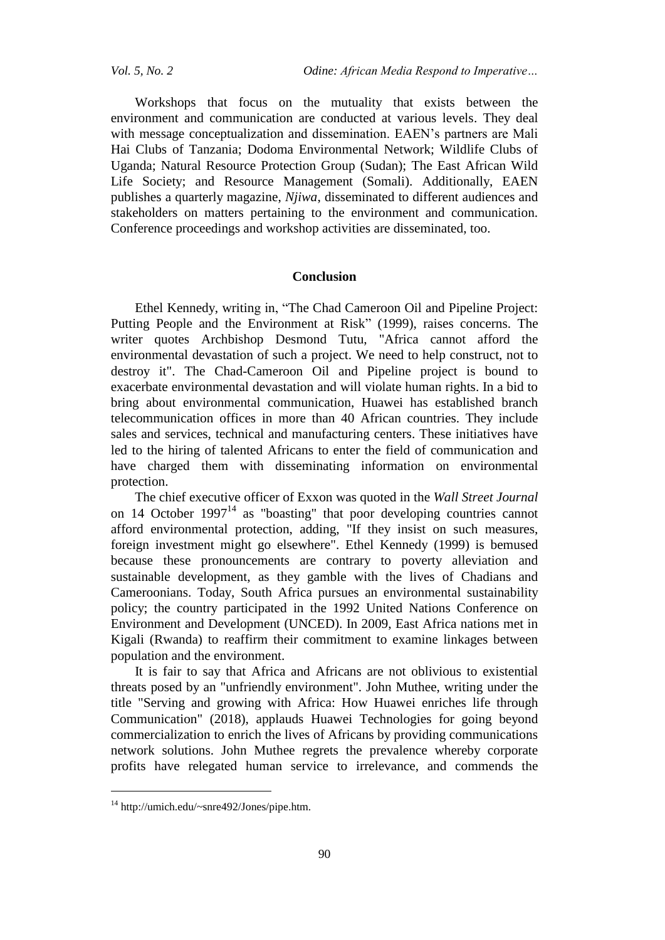Workshops that focus on the mutuality that exists between the environment and communication are conducted at various levels. They deal with message conceptualization and dissemination. EAEN's partners are Mali Hai Clubs of Tanzania; Dodoma Environmental Network; Wildlife Clubs of Uganda; Natural Resource Protection Group (Sudan); The East African Wild Life Society; and Resource Management (Somali). Additionally, EAEN publishes a quarterly magazine, *Njiwa*, disseminated to different audiences and stakeholders on matters pertaining to the environment and communication. Conference proceedings and workshop activities are disseminated, too.

# **Conclusion**

Ethel Kennedy, writing in, "The Chad Cameroon Oil and Pipeline Project: Putting People and the Environment at Risk" (1999), raises concerns. The writer quotes Archbishop Desmond Tutu, "Africa cannot afford the environmental devastation of such a project. We need to help construct, not to destroy it". The Chad-Cameroon Oil and Pipeline project is bound to exacerbate environmental devastation and will violate human rights. In a bid to bring about environmental communication, Huawei has established branch telecommunication offices in more than 40 African countries. They include sales and services, technical and manufacturing centers. These initiatives have led to the hiring of talented Africans to enter the field of communication and have charged them with disseminating information on environmental protection.

The chief executive officer of Exxon was quoted in the *Wall Street Journal* on 14 October 1997 $14$  as "boasting" that poor developing countries cannot afford environmental protection, adding, "If they insist on such measures, foreign investment might go elsewhere". Ethel Kennedy (1999) is bemused because these pronouncements are contrary to poverty alleviation and sustainable development, as they gamble with the lives of Chadians and Cameroonians. Today, South Africa pursues an environmental sustainability policy; the country participated in the 1992 United Nations Conference on Environment and Development (UNCED). In 2009, East Africa nations met in Kigali (Rwanda) to reaffirm their commitment to examine linkages between population and the environment.

It is fair to say that Africa and Africans are not oblivious to existential threats posed by an "unfriendly environment". John Muthee, writing under the title "Serving and growing with Africa: How Huawei enriches life through Communication" (2018), applauds Huawei Technologies for going beyond commercialization to enrich the lives of Africans by providing communications network solutions. John Muthee regrets the prevalence whereby corporate profits have relegated human service to irrelevance, and commends the

<sup>14</sup> http://umich.edu/~snre492/Jones/pipe.htm.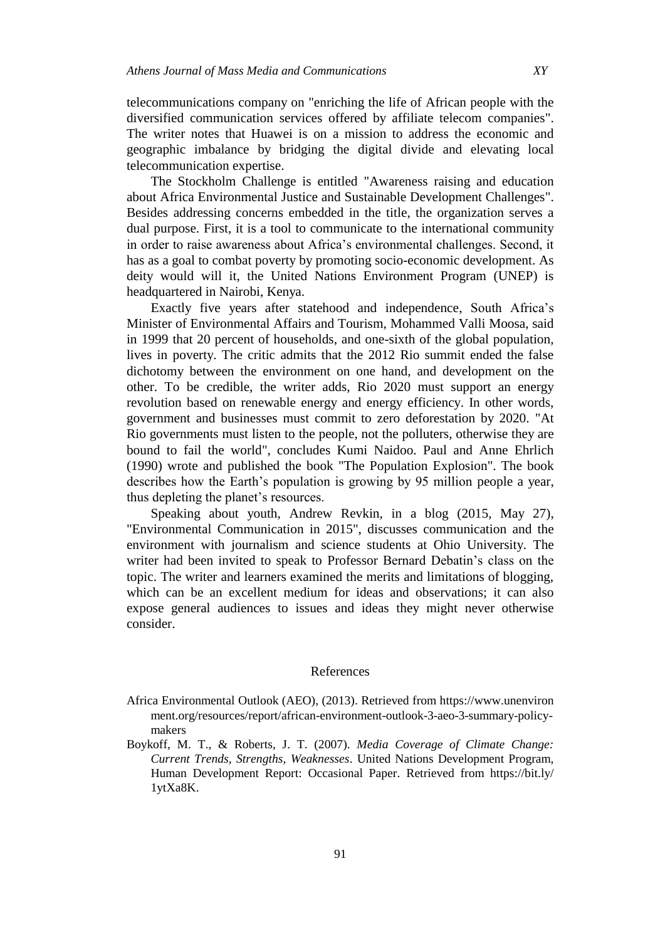telecommunications company on "enriching the life of African people with the diversified communication services offered by affiliate telecom companies". The writer notes that Huawei is on a mission to address the economic and geographic imbalance by bridging the digital divide and elevating local telecommunication expertise.

The Stockholm Challenge is entitled "Awareness raising and education about Africa Environmental Justice and Sustainable Development Challenges". Besides addressing concerns embedded in the title, the organization serves a dual purpose. First, it is a tool to communicate to the international community in order to raise awareness about Africa's environmental challenges. Second, it has as a goal to combat poverty by promoting socio-economic development. As deity would will it, the United Nations Environment Program (UNEP) is headquartered in Nairobi, Kenya.

Exactly five years after statehood and independence, South Africa's Minister of Environmental Affairs and Tourism, Mohammed Valli Moosa, said in 1999 that 20 percent of households, and one-sixth of the global population, lives in poverty. The critic admits that the 2012 Rio summit ended the false dichotomy between the environment on one hand, and development on the other. To be credible, the writer adds, Rio 2020 must support an energy revolution based on renewable energy and energy efficiency. In other words, government and businesses must commit to zero deforestation by 2020. "At Rio governments must listen to the people, not the polluters, otherwise they are bound to fail the world", concludes Kumi Naidoo. Paul and Anne Ehrlich (1990) wrote and published the book "The Population Explosion". The book describes how the Earth's population is growing by 95 million people a year, thus depleting the planet's resources.

Speaking about youth, Andrew Revkin, in a blog (2015, May 27), "Environmental Communication in 2015", discusses communication and the environment with journalism and science students at Ohio University. The writer had been invited to speak to Professor Bernard Debatin's class on the topic. The writer and learners examined the merits and limitations of blogging, which can be an excellent medium for ideas and observations; it can also expose general audiences to issues and ideas they might never otherwise consider.

# References

- Africa Environmental Outlook (AEO), (2013). Retrieved from https://www.unenviron ment.org/resources/report/african-environment-outlook-3-aeo-3-summary-policymakers
- Boykoff, M. T., & Roberts, J. T. (2007). *Media Coverage of Climate Change: Current Trends, Strengths, Weaknesses*. United Nations Development Program, Human Development Report: Occasional Paper. Retrieved from https://bit.ly/ 1ytXa8K.